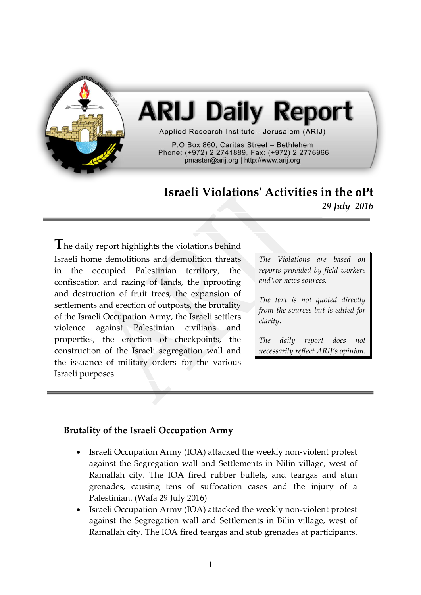

# **ARIJ Daily Report**

Applied Research Institute - Jerusalem (ARIJ)

P.O Box 860, Caritas Street - Bethlehem Phone: (+972) 2 2741889, Fax: (+972) 2 2776966 pmaster@arij.org | http://www.arij.org

# **Israeli Violations' Activities in the oPt** *29 July 2016*

The daily report highlights the violations behind Israeli home demolitions and demolition threats in the occupied Palestinian territory, the confiscation and razing of lands, the uprooting and destruction of fruit trees, the expansion of settlements and erection of outposts, the brutality of the Israeli Occupation Army, the Israeli settlers violence against Palestinian civilians and properties, the erection of checkpoints, the construction of the Israeli segregation wall and the issuance of military orders for the various Israeli purposes.

*The Violations are based on reports provided by field workers and\or news sources.*

*The text is not quoted directly from the sources but is edited for clarity.*

*The daily report does not necessarily reflect ARIJ's opinion.*

# **Brutality of the Israeli Occupation Army**

- Israeli Occupation Army (IOA) attacked the weekly non-violent protest against the Segregation wall and Settlements in Nilin village, west of Ramallah city. The IOA fired rubber bullets, and teargas and stun grenades, causing tens of suffocation cases and the injury of a Palestinian. (Wafa 29 July 2016)
- Israeli Occupation Army (IOA) attacked the weekly non-violent protest against the Segregation wall and Settlements in Bilin village, west of Ramallah city. The IOA fired teargas and stub grenades at participants.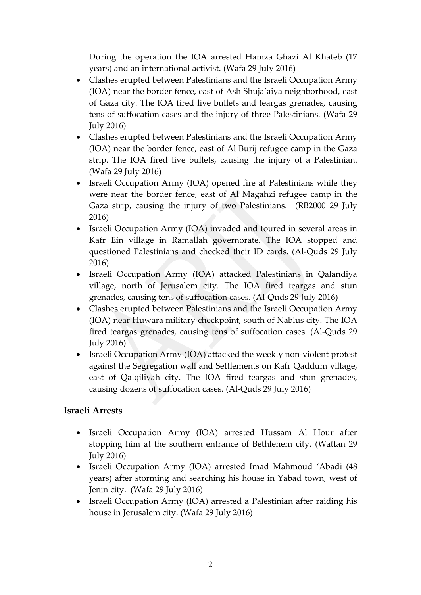During the operation the IOA arrested Hamza Ghazi Al Khateb (17 years) and an international activist. (Wafa 29 July 2016)

- Clashes erupted between Palestinians and the Israeli Occupation Army (IOA) near the border fence, east of Ash Shuja'aiya neighborhood, east of Gaza city. The IOA fired live bullets and teargas grenades, causing tens of suffocation cases and the injury of three Palestinians. (Wafa 29 July 2016)
- Clashes erupted between Palestinians and the Israeli Occupation Army (IOA) near the border fence, east of Al Burij refugee camp in the Gaza strip. The IOA fired live bullets, causing the injury of a Palestinian. (Wafa 29 July 2016)
- Israeli Occupation Army (IOA) opened fire at Palestinians while they were near the border fence, east of Al Magahzi refugee camp in the Gaza strip, causing the injury of two Palestinians. (RB2000 29 July 2016)
- Israeli Occupation Army (IOA) invaded and toured in several areas in Kafr Ein village in Ramallah governorate. The IOA stopped and questioned Palestinians and checked their ID cards. (Al-Quds 29 July 2016)
- Israeli Occupation Army (IOA) attacked Palestinians in Qalandiya village, north of Jerusalem city. The IOA fired teargas and stun grenades, causing tens of suffocation cases. (Al-Quds 29 July 2016)
- Clashes erupted between Palestinians and the Israeli Occupation Army (IOA) near Huwara military checkpoint, south of Nablus city. The IOA fired teargas grenades, causing tens of suffocation cases. (Al-Quds 29 July 2016)
- Israeli Occupation Army (IOA) attacked the weekly non-violent protest against the Segregation wall and Settlements on Kafr Qaddum village, east of Qalqiliyah city. The IOA fired teargas and stun grenades, causing dozens of suffocation cases. (Al-Quds 29 July 2016)

# **Israeli Arrests**

- Israeli Occupation Army (IOA) arrested Hussam Al Hour after stopping him at the southern entrance of Bethlehem city. (Wattan 29 July 2016)
- Israeli Occupation Army (IOA) arrested Imad Mahmoud 'Abadi (48 years) after storming and searching his house in Yabad town, west of Jenin city. (Wafa 29 July 2016)
- Israeli Occupation Army (IOA) arrested a Palestinian after raiding his house in Jerusalem city. (Wafa 29 July 2016)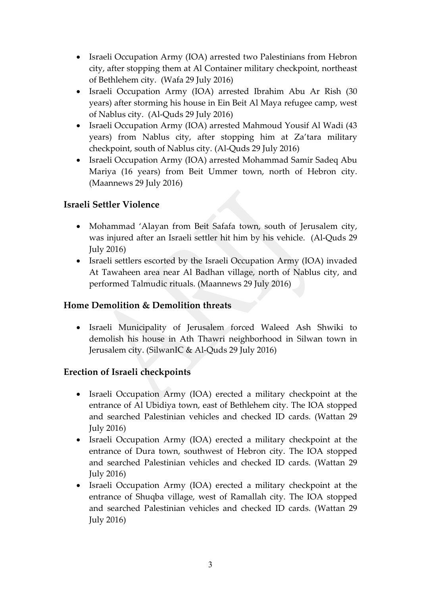- Israeli Occupation Army (IOA) arrested two Palestinians from Hebron city, after stopping them at Al Container military checkpoint, northeast of Bethlehem city. (Wafa 29 July 2016)
- Israeli Occupation Army (IOA) arrested Ibrahim Abu Ar Rish (30 years) after storming his house in Ein Beit Al Maya refugee camp, west of Nablus city. (Al-Quds 29 July 2016)
- Israeli Occupation Army (IOA) arrested Mahmoud Yousif Al Wadi (43 years) from Nablus city, after stopping him at Za'tara military checkpoint, south of Nablus city. (Al-Quds 29 July 2016)
- Israeli Occupation Army (IOA) arrested Mohammad Samir Sadeq Abu Mariya (16 years) from Beit Ummer town, north of Hebron city. (Maannews 29 July 2016)

# **Israeli Settler Violence**

- Mohammad 'Alayan from Beit Safafa town, south of Jerusalem city, was injured after an Israeli settler hit him by his vehicle. (Al-Quds 29 July 2016)
- Israeli settlers escorted by the Israeli Occupation Army (IOA) invaded At Tawaheen area near Al Badhan village, north of Nablus city, and performed Talmudic rituals. (Maannews 29 July 2016)

#### **Home Demolition & Demolition threats**

 Israeli Municipality of Jerusalem forced Waleed Ash Shwiki to demolish his house in Ath Thawri neighborhood in Silwan town in Jerusalem city. (SilwanIC & Al-Quds 29 July 2016)

# **Erection of Israeli checkpoints**

- Israeli Occupation Army (IOA) erected a military checkpoint at the entrance of Al Ubidiya town, east of Bethlehem city. The IOA stopped and searched Palestinian vehicles and checked ID cards. (Wattan 29 July 2016)
- Israeli Occupation Army (IOA) erected a military checkpoint at the entrance of Dura town, southwest of Hebron city. The IOA stopped and searched Palestinian vehicles and checked ID cards. (Wattan 29 July 2016)
- Israeli Occupation Army (IOA) erected a military checkpoint at the entrance of Shuqba village, west of Ramallah city. The IOA stopped and searched Palestinian vehicles and checked ID cards. (Wattan 29 July 2016)